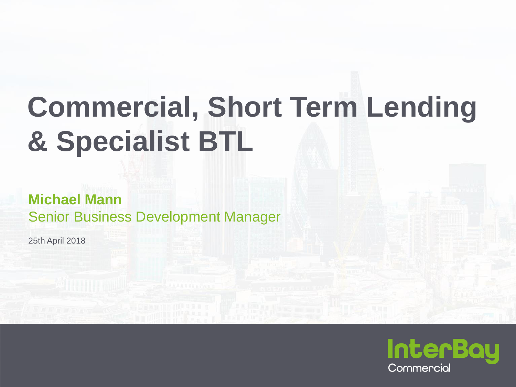# **Commercial, Short Term Lending & Specialist BTL**

#### **Michael Mann** Senior Business Development Manager

25th April 2018

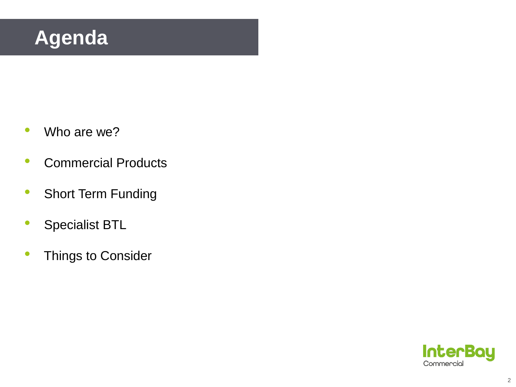#### **Agenda**

- Who are we?
- Commercial Products
- Short Term Funding
- Specialist BTL
- Things to Consider

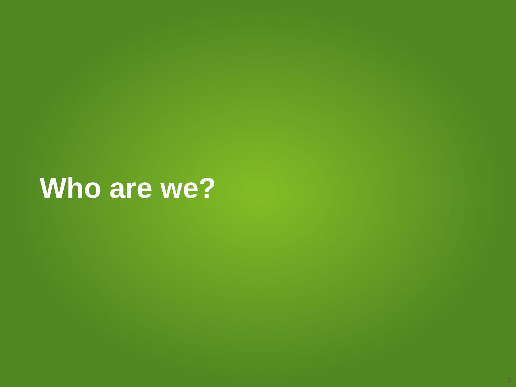# **Who are we?**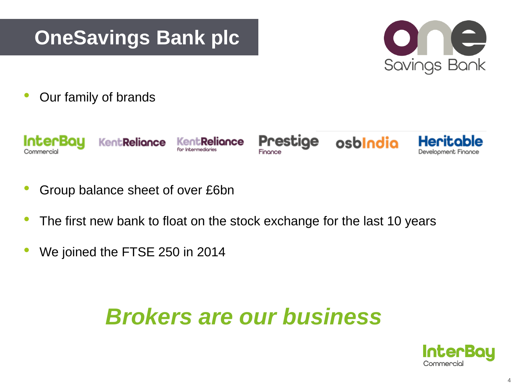### **OneSavings Bank plc**



• Our family of brands



- Group balance sheet of over £6bn
- The first new bank to float on the stock exchange for the last 10 years
- We joined the FTSE 250 in 2014

### *Brokers are our business*

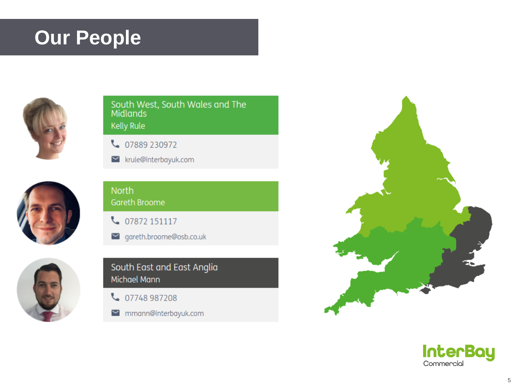#### **Our People**



South West, South Wales and The<br>Midlands **Kelly Rule** 

07889 230972

► krule@interbayuk.com



#### North **Gareth Broome**

6 07872 151117

gareth.broome@osb.co.uk



- South East and East Anglia Michael Mann
- 07748987208
- $\blacktriangleright$  mmann@interbayuk.com



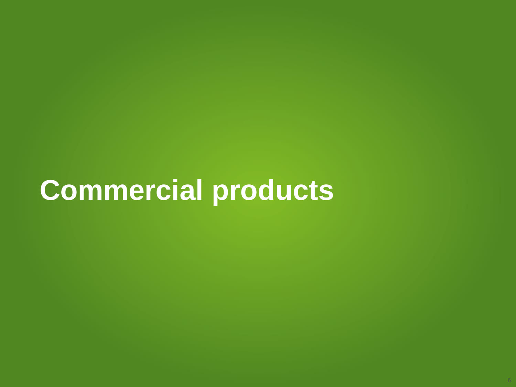# **Commercial products**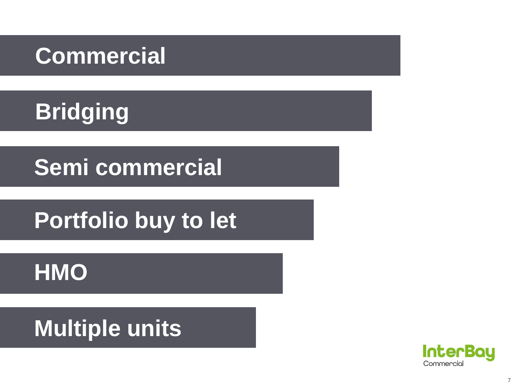### **Commercial**

# **Bridging**

## **Semi commercial**

## **Portfolio buy to let**

## **HMO**

# **Multiple units**

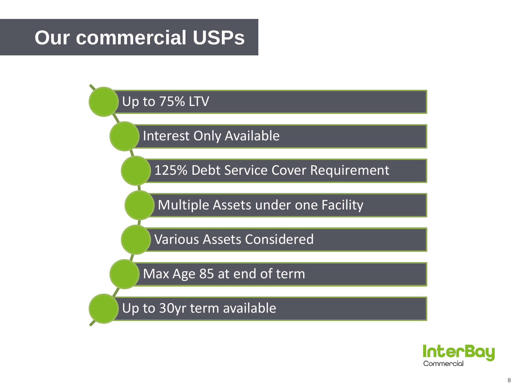#### **Our commercial USPs**

Up to 75% LTV

Interest Only Available

125% Debt Service Cover Requirement

Multiple Assets under one Facility

Various Assets Considered

Max Age 85 at end of term

Up to 30yr term available

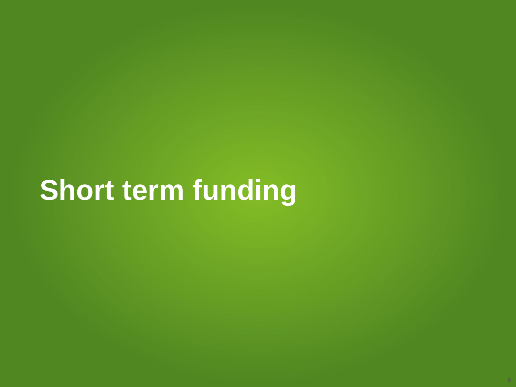# **Short term funding**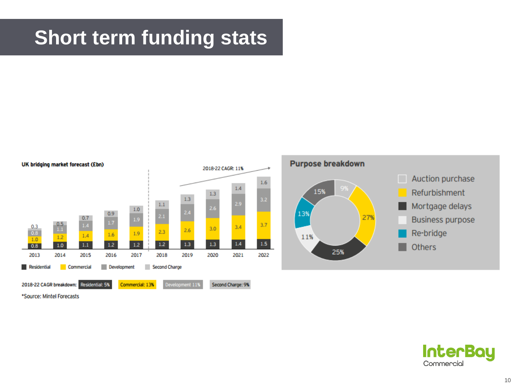### **Short term funding stats**



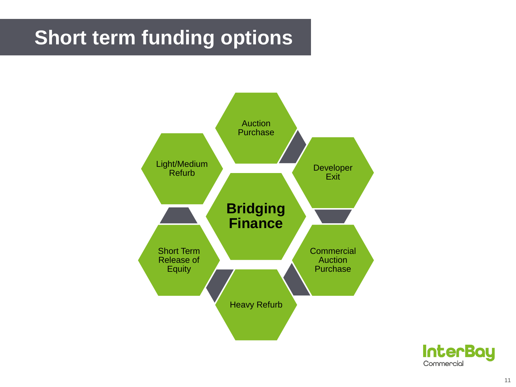### **Short term funding options**



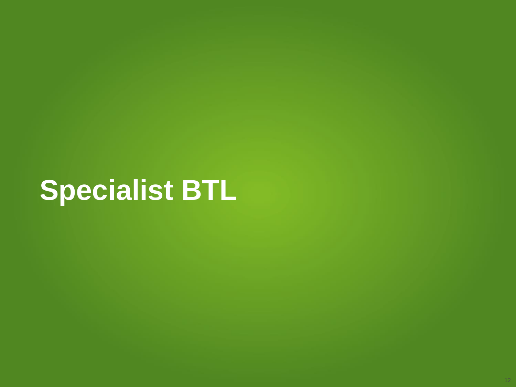# **Specialist BTL**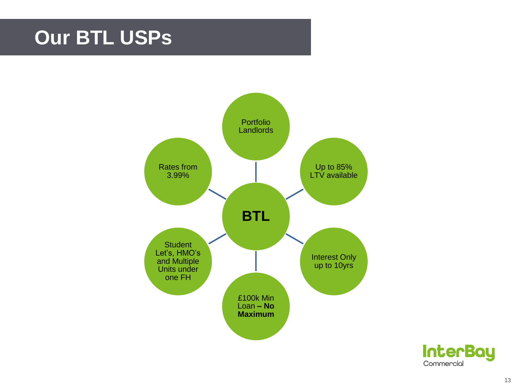#### **Our BTL USPs**



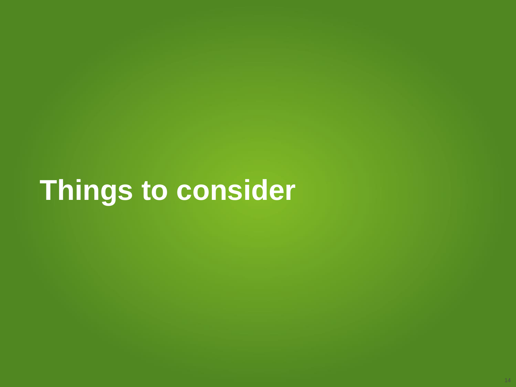# **Things to consider**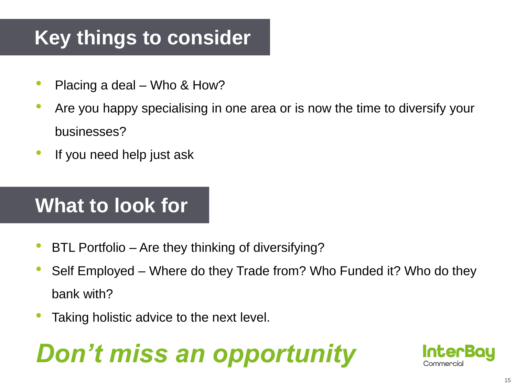### **Key things to consider**

- Placing a deal Who & How?
- Are you happy specialising in one area or is now the time to diversify your businesses?
- If you need help just ask

#### **What to look for**

- BTL Portfolio Are they thinking of diversifying?
- Self Employed Where do they Trade from? Who Funded it? Who do they bank with?
- Taking holistic advice to the next level.

# *Don't miss an opportunity*